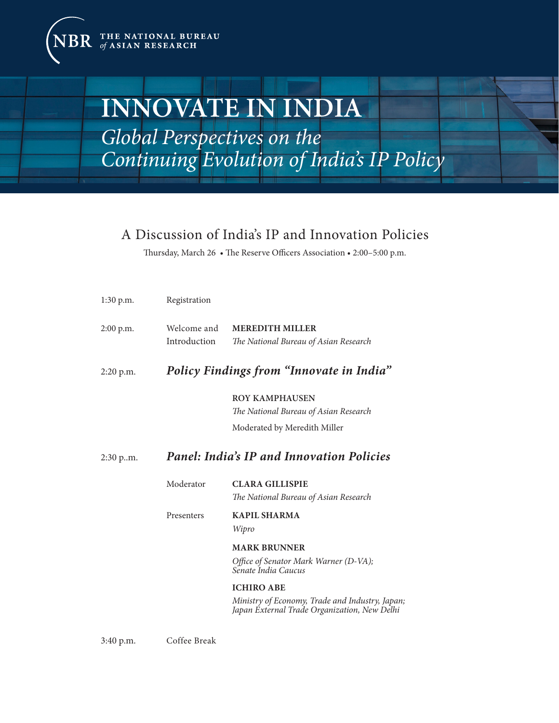THE NATIONAL BUREAU of ASIAN RESEARCH

# **INNOVATE IN INDIA**

*Global Perspectives on the Continuing Evolution of India's IP Policy*

## A Discussion of India's IP and Innovation Policies

Thursday, March 26 • The Reserve Officers Association • 2:00–5:00 p.m.

| $1:30$ p.m. | Registration                                     |                                                                                                 |
|-------------|--------------------------------------------------|-------------------------------------------------------------------------------------------------|
| $2:00$ p.m. | Welcome and<br>Introduction                      | <b>MEREDITH MILLER</b><br>The National Bureau of Asian Research                                 |
| $2:20$ p.m. | Policy Findings from "Innovate in India"         |                                                                                                 |
|             |                                                  | <b>ROY KAMPHAUSEN</b><br>The National Bureau of Asian Research                                  |
|             |                                                  | Moderated by Meredith Miller                                                                    |
| 2:30 p.m.   | <b>Panel: India's IP and Innovation Policies</b> |                                                                                                 |
|             | Moderator                                        | <b>CLARA GILLISPIE</b><br>The National Bureau of Asian Research                                 |
|             | Presenters                                       | <b>KAPIL SHARMA</b><br>Wipro                                                                    |
|             |                                                  | <b>MARK BRUNNER</b>                                                                             |
|             |                                                  | Office of Senator Mark Warner (D-VA);<br>Senate India Caucus                                    |
|             |                                                  | <b>ICHIRO ABE</b>                                                                               |
|             |                                                  | Ministry of Economy, Trade and Industry, Japan;<br>Japan External Trade Organization, New Delhi |

3:40 p.m. Coffee Break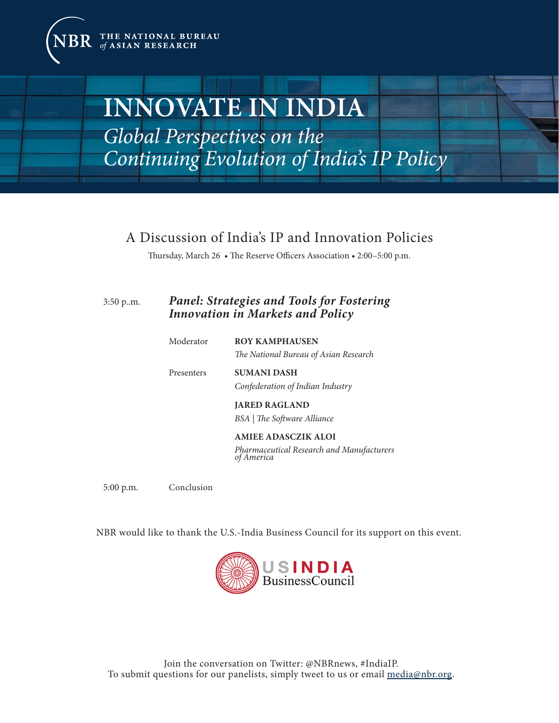THE NATIONAL BUREAU of ASIAN RESEARCH

# **INNOVATE IN INDIA**

*Global Perspectives on the Continuing Evolution of India's IP Policy*

## A Discussion of India's IP and Innovation Policies

Thursday, March 26 • The Reserve Officers Association • 2:00–5:00 p.m.

## 3:50 p..m. *Panel: Strategies and Tools for Fostering Innovation in Markets and Policy*

| Moderator  | <b>ROY KAMPHAUSEN</b><br>The National Bureau of Asian Research                        |
|------------|---------------------------------------------------------------------------------------|
| Presenters | <b>SUMANI DASH</b><br>Confederation of Indian Industry                                |
|            | <b>JARED RAGLAND</b><br>BSA   The Software Alliance                                   |
|            | <b>AMIEE ADASCZIK ALOI</b><br>Pharmaceutical Research and Manufacturers<br>of America |

5:00 p.m. Conclusion

NBR would like to thank the U.S.-India Business Council for its support on this event.



Join the conversation on Twitter: @NBRnews, #IndiaIP. To submit questions for our panelists, simply tweet to us or email <media@nbr.org>.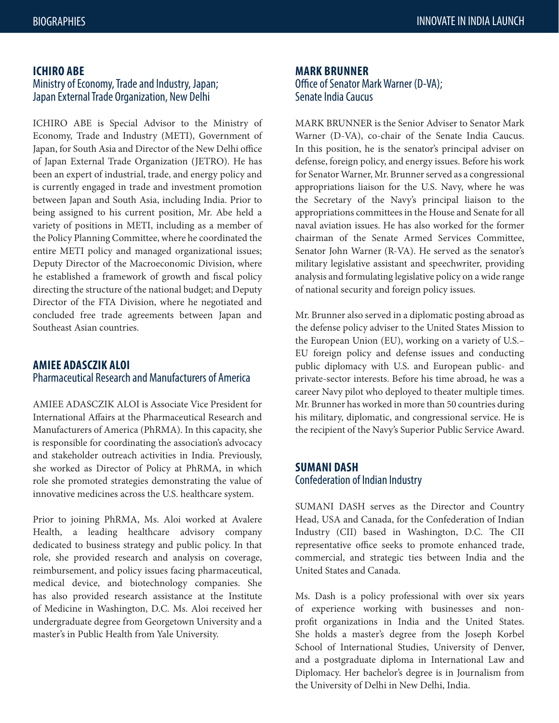### **ICHIRO ABE**

## Ministry of Economy, Trade and Industry, Japan; Japan External Trade Organization, New Delhi

ICHIRO ABE is Special Advisor to the Ministry of Economy, Trade and Industry (METI), Government of Japan, for South Asia and Director of the New Delhi office of Japan External Trade Organization (JETRO). He has been an expert of industrial, trade, and energy policy and is currently engaged in trade and investment promotion between Japan and South Asia, including India. Prior to being assigned to his current position, Mr. Abe held a variety of positions in METI, including as a member of the Policy Planning Committee, where he coordinated the entire METI policy and managed organizational issues; Deputy Director of the Macroeconomic Division, where he established a framework of growth and fiscal policy directing the structure of the national budget; and Deputy Director of the FTA Division, where he negotiated and concluded free trade agreements between Japan and Southeast Asian countries.

## **AMIEE ADASCZIK ALOI**  Pharmaceutical Research and Manufacturers of America

AMIEE ADASCZIK ALOI is Associate Vice President for International Affairs at the Pharmaceutical Research and Manufacturers of America (PhRMA). In this capacity, she is responsible for coordinating the association's advocacy and stakeholder outreach activities in India. Previously, she worked as Director of Policy at PhRMA, in which role she promoted strategies demonstrating the value of innovative medicines across the U.S. healthcare system.

Prior to joining PhRMA, Ms. Aloi worked at Avalere Health, a leading healthcare advisory company dedicated to business strategy and public policy. In that role, she provided research and analysis on coverage, reimbursement, and policy issues facing pharmaceutical, medical device, and biotechnology companies. She has also provided research assistance at the Institute of Medicine in Washington, D.C. Ms. Aloi received her undergraduate degree from Georgetown University and a master's in Public Health from Yale University.

## **MARK BRUNNER**  Office of Senator Mark Warner (D-VA);

Senate India Caucus

MARK BRUNNER is the Senior Adviser to Senator Mark Warner (D-VA), co-chair of the Senate India Caucus. In this position, he is the senator's principal adviser on defense, foreign policy, and energy issues. Before his work for Senator Warner, Mr. Brunner served as a congressional appropriations liaison for the U.S. Navy, where he was the Secretary of the Navy's principal liaison to the appropriations committees in the House and Senate for all naval aviation issues. He has also worked for the former chairman of the Senate Armed Services Committee, Senator John Warner (R-VA). He served as the senator's military legislative assistant and speechwriter, providing analysis and formulating legislative policy on a wide range of national security and foreign policy issues.

Mr. Brunner also served in a diplomatic posting abroad as the defense policy adviser to the United States Mission to the European Union (EU), working on a variety of U.S.– EU foreign policy and defense issues and conducting public diplomacy with U.S. and European public- and private-sector interests. Before his time abroad, he was a career Navy pilot who deployed to theater multiple times. Mr. Brunner has worked in more than 50 countries during his military, diplomatic, and congressional service. He is the recipient of the Navy's Superior Public Service Award.

## **SUMANI DASH**  Confederation of Indian Industry

SUMANI DASH serves as the Director and Country Head, USA and Canada, for the Confederation of Indian Industry (CII) based in Washington, D.C. The CII representative office seeks to promote enhanced trade, commercial, and strategic ties between India and the United States and Canada.

Ms. Dash is a policy professional with over six years of experience working with businesses and nonprofit organizations in India and the United States. She holds a master's degree from the Joseph Korbel School of International Studies, University of Denver, and a postgraduate diploma in International Law and Diplomacy. Her bachelor's degree is in Journalism from the University of Delhi in New Delhi, India.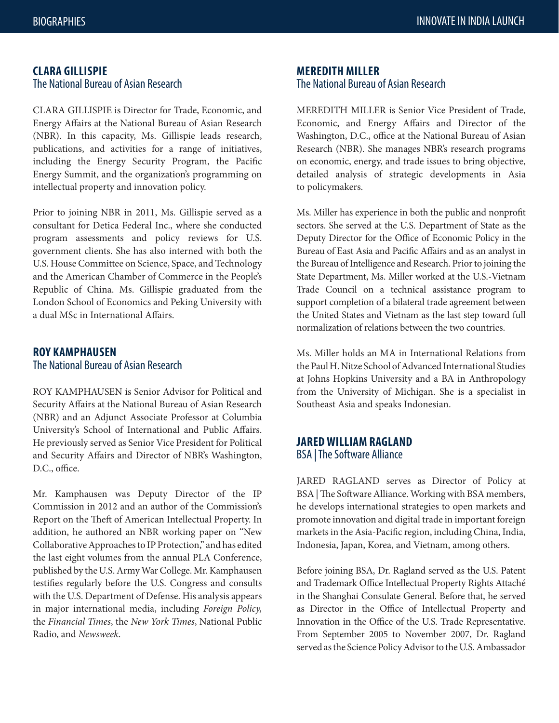### **CLARA GILLISPIE**  The National Bureau of Asian Research

CLARA GILLISPIE is Director for Trade, Economic, and Energy Affairs at the National Bureau of Asian Research (NBR). In this capacity, Ms. Gillispie leads research, publications, and activities for a range of initiatives, including the Energy Security Program, the Pacific Energy Summit, and the organization's programming on intellectual property and innovation policy.

Prior to joining NBR in 2011, Ms. Gillispie served as a consultant for Detica Federal Inc., where she conducted program assessments and policy reviews for U.S. government clients. She has also interned with both the U.S. House Committee on Science, Space, and Technology and the American Chamber of Commerce in the People's Republic of China. Ms. Gillispie graduated from the London School of Economics and Peking University with a dual MSc in International Affairs.

## **ROY KAMPHAUSEN**  The National Bureau of Asian Research

ROY KAMPHAUSEN is Senior Advisor for Political and Security Affairs at the National Bureau of Asian Research (NBR) and an Adjunct Associate Professor at Columbia University's School of International and Public Affairs. He previously served as Senior Vice President for Political and Security Affairs and Director of NBR's Washington, D.C., office.

Mr. Kamphausen was Deputy Director of the IP Commission in 2012 and an author of the Commission's Report on the Theft of American Intellectual Property. In addition, he authored an NBR working paper on "New Collaborative Approaches to IP Protection," and has edited the last eight volumes from the annual PLA Conference, published by the U.S. Army War College. Mr. Kamphausen testifies regularly before the U.S. Congress and consults with the U.S. Department of Defense. His analysis appears in major international media, including *Foreign Policy,* the *Financial Times*, the *New York Times*, National Public Radio, and *Newsweek*.

#### **MEREDITH MILLER**  The National Bureau of Asian Research

MEREDITH MILLER is Senior Vice President of Trade, Economic, and Energy Affairs and Director of the Washington, D.C., office at the National Bureau of Asian Research (NBR). She manages NBR's research programs on economic, energy, and trade issues to bring objective, detailed analysis of strategic developments in Asia to policymakers.

Ms. Miller has experience in both the public and nonprofit sectors. She served at the U.S. Department of State as the Deputy Director for the Office of Economic Policy in the Bureau of East Asia and Pacific Affairs and as an analyst in the Bureau of Intelligence and Research. Prior to joining the State Department, Ms. Miller worked at the U.S.-Vietnam Trade Council on a technical assistance program to support completion of a bilateral trade agreement between the United States and Vietnam as the last step toward full normalization of relations between the two countries.

Ms. Miller holds an MA in International Relations from the Paul H. Nitze School of Advanced International Studies at Johns Hopkins University and a BA in Anthropology from the University of Michigan. She is a specialist in Southeast Asia and speaks Indonesian.

## **JARED WILLIAM RAGLAND**  BSA | The Software Alliance

JARED RAGLAND serves as Director of Policy at BSA | The Software Alliance. Working with BSA members, he develops international strategies to open markets and promote innovation and digital trade in important foreign markets in the Asia-Pacific region, including China, India, Indonesia, Japan, Korea, and Vietnam, among others.

Before joining BSA, Dr. Ragland served as the U.S. Patent and Trademark Office Intellectual Property Rights Attaché in the Shanghai Consulate General. Before that, he served as Director in the Office of Intellectual Property and Innovation in the Office of the U.S. Trade Representative. From September 2005 to November 2007, Dr. Ragland served as the Science Policy Advisor to the U.S. Ambassador